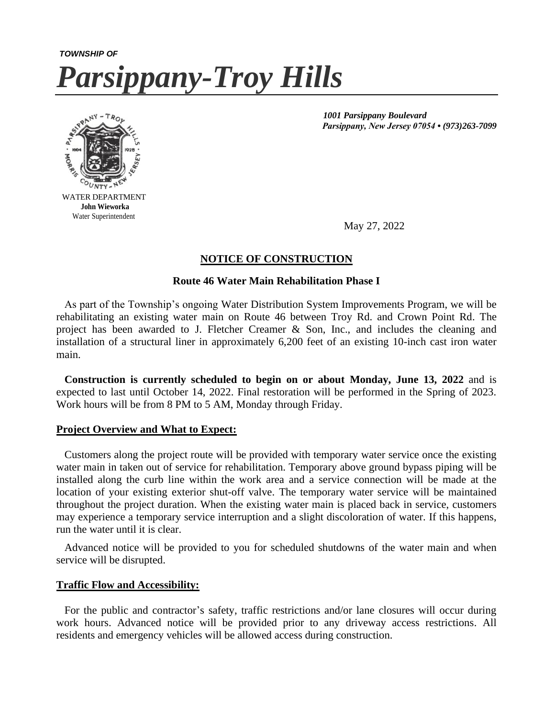# *TOWNSHIP OF Parsippany-Troy Hills*



Water Superintendent

 *1001 Parsippany Boulevard Parsippany, New Jersey 07054 • (973)263-7099*

May 27, 2022

# **NOTICE OF CONSTRUCTION**

## **Route 46 Water Main Rehabilitation Phase I**

 As part of the Township's ongoing Water Distribution System Improvements Program, we will be rehabilitating an existing water main on Route 46 between Troy Rd. and Crown Point Rd. The project has been awarded to J. Fletcher Creamer & Son, Inc., and includes the cleaning and installation of a structural liner in approximately 6,200 feet of an existing 10-inch cast iron water main.

 **Construction is currently scheduled to begin on or about Monday, June 13, 2022** and is expected to last until October 14, 2022. Final restoration will be performed in the Spring of 2023. Work hours will be from 8 PM to 5 AM, Monday through Friday.

#### **Project Overview and What to Expect:**

 Customers along the project route will be provided with temporary water service once the existing water main in taken out of service for rehabilitation. Temporary above ground bypass piping will be installed along the curb line within the work area and a service connection will be made at the location of your existing exterior shut-off valve. The temporary water service will be maintained throughout the project duration. When the existing water main is placed back in service, customers may experience a temporary service interruption and a slight discoloration of water. If this happens, run the water until it is clear.

 Advanced notice will be provided to you for scheduled shutdowns of the water main and when service will be disrupted.

#### **Traffic Flow and Accessibility:**

 For the public and contractor's safety, traffic restrictions and/or lane closures will occur during work hours. Advanced notice will be provided prior to any driveway access restrictions. All residents and emergency vehicles will be allowed access during construction.